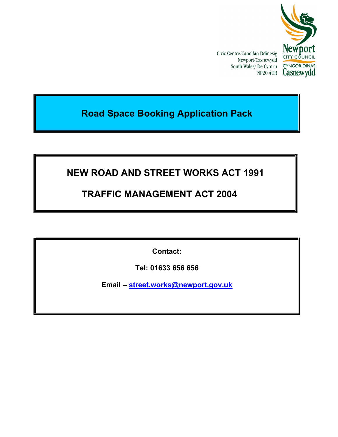

Civic Centre/Canolfan Ddinesig Newport/Casnewydd South Wales/ De Cymru NP20 4UR

# Road Space Booking Application Pack

# NEW ROAD AND STREET WORKS ACT 1991

# TRAFFIC MANAGEMENT ACT 2004

Contact:

Tel: 01633 656 656

Email – street.works@newport.gov.uk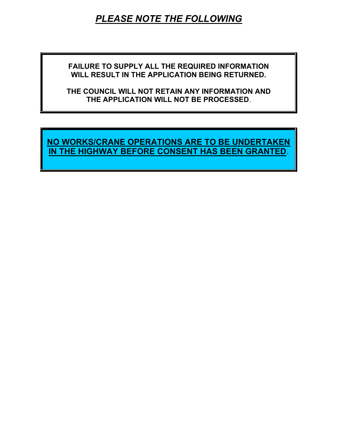# PLEASE NOTE THE FOLLOWING

FAILURE TO SUPPLY ALL THE REQUIRED INFORMATION WILL RESULT IN THE APPLICATION BEING RETURNED.

THE COUNCIL WILL NOT RETAIN ANY INFORMATION AND THE APPLICATION WILL NOT BE PROCESSED.

NO WORKS/CRANE OPERATIONS ARE TO BE UNDERTAKEN IN THE HIGHWAY BEFORE CONSENT HAS BEEN GRANTED.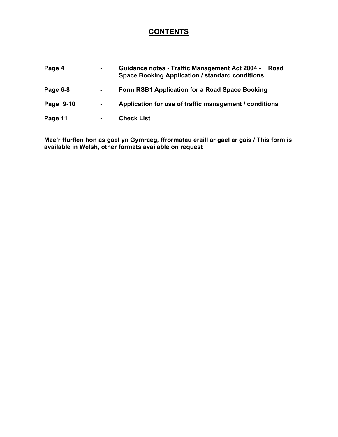## **CONTENTS**

| Page 4    | $\sim$ | <b>Guidance notes - Traffic Management Act 2004 -</b><br>Road<br><b>Space Booking Application / standard conditions</b> |  |  |  |  |
|-----------|--------|-------------------------------------------------------------------------------------------------------------------------|--|--|--|--|
| Page 6-8  | ٠      | Form RSB1 Application for a Road Space Booking                                                                          |  |  |  |  |
| Page 9-10 | $\sim$ | Application for use of traffic management / conditions                                                                  |  |  |  |  |
| Page 11   | ۰.     | <b>Check List</b>                                                                                                       |  |  |  |  |

Mae'r ffurflen hon as gael yn Gymraeg, ffrormatau eraill ar gael ar gais / This form is available in Welsh, other formats available on request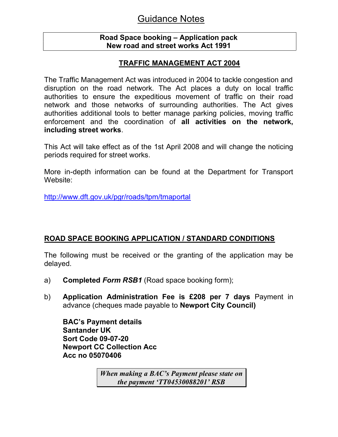# Guidance Notes

## Road Space booking – Application pack New road and street works Act 1991

## TRAFFIC MANAGEMENT ACT 2004

The Traffic Management Act was introduced in 2004 to tackle congestion and disruption on the road network. The Act places a duty on local traffic authorities to ensure the expeditious movement of traffic on their road network and those networks of surrounding authorities. The Act gives authorities additional tools to better manage parking policies, moving traffic enforcement and the coordination of all activities on the network, including street works.

This Act will take effect as of the 1st April 2008 and will change the noticing periods required for street works.

More in-depth information can be found at the Department for Transport Website:

http://www.dft.gov.uk/pgr/roads/tpm/tmaportal

## ROAD SPACE BOOKING APPLICATION / STANDARD CONDITIONS

The following must be received or the granting of the application may be delayed.

- a) **Completed Form RSB1** (Road space booking form);
- b) Application Administration Fee is £208 per 7 days Payment in advance (cheques made payable to Newport City Council)

BAC's Payment details Santander UK Sort Code 09-07-20 Newport CC Collection Acc Acc no 05070406

> When making a BAC's Payment please state on the payment 'TT04530088201' RSB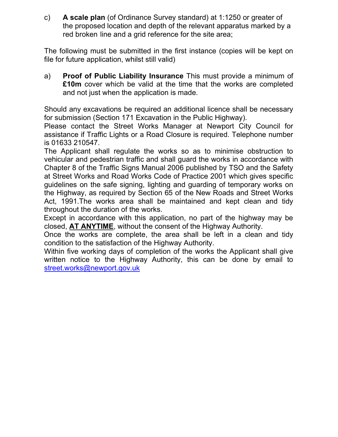c) A scale plan (of Ordinance Survey standard) at 1:1250 or greater of the proposed location and depth of the relevant apparatus marked by a red broken line and a grid reference for the site area;

The following must be submitted in the first instance (copies will be kept on file for future application, whilst still valid)

a) Proof of Public Liability Insurance This must provide a minimum of £10m cover which be valid at the time that the works are completed and not just when the application is made.

Should any excavations be required an additional licence shall be necessary for submission (Section 171 Excavation in the Public Highway).

Please contact the Street Works Manager at Newport City Council for assistance if Traffic Lights or a Road Closure is required. Telephone number is 01633 210547.

The Applicant shall regulate the works so as to minimise obstruction to vehicular and pedestrian traffic and shall guard the works in accordance with Chapter 8 of the Traffic Signs Manual 2006 published by TSO and the Safety at Street Works and Road Works Code of Practice 2001 which gives specific guidelines on the safe signing, lighting and guarding of temporary works on the Highway, as required by Section 65 of the New Roads and Street Works Act, 1991.The works area shall be maintained and kept clean and tidy throughout the duration of the works.

Except in accordance with this application, no part of the highway may be closed, AT ANYTIME, without the consent of the Highway Authority.

Once the works are complete, the area shall be left in a clean and tidy condition to the satisfaction of the Highway Authority.

Within five working days of completion of the works the Applicant shall give written notice to the Highway Authority, this can be done by email to street.works@newport.gov.uk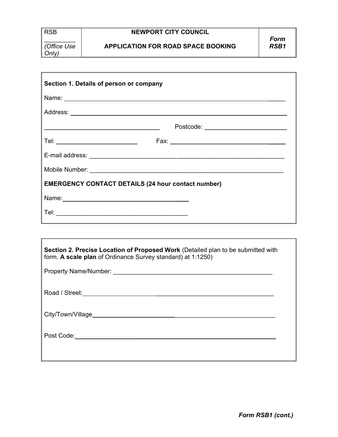Only)

 $\frac{1}{2}$ (Office Use

### NEWPORT CITY COUNCIL

Section 1. Details of person or company Name: \_\_\_\_\_ Address: Postcode: Tel: Fax: \_\_\_\_\_ E-mail address: \_\_\_\_\_\_\_\_\_\_\_\_\_\_\_\_\_\_\_\_\_\_\_\_\_ \_\_\_\_\_\_\_\_\_\_\_\_\_\_\_\_\_\_\_\_\_\_\_\_\_\_\_\_\_\_\_ Mobile Number: **with a strategies of the strategies of the strategies of the strategies of the strategies of the strategies of the strategies of the strategies of the strategies of the strategies of the strategies of the s** EMERGENCY CONTACT DETAILS (24 hour contact number) Name: \_\_\_\_ Tel: \_\_\_\_\_\_\_\_\_\_\_\_\_\_\_\_\_\_\_\_\_\_\_\_\_\_\_\_\_\_\_\_\_\_\_\_\_\_

| Section 2. Precise Location of Proposed Work (Detailed plan to be submitted with<br>form. A scale plan of Ordinance Survey standard) at 1:1250) |  |  |  |  |  |
|-------------------------------------------------------------------------------------------------------------------------------------------------|--|--|--|--|--|
|                                                                                                                                                 |  |  |  |  |  |
|                                                                                                                                                 |  |  |  |  |  |
|                                                                                                                                                 |  |  |  |  |  |
|                                                                                                                                                 |  |  |  |  |  |
|                                                                                                                                                 |  |  |  |  |  |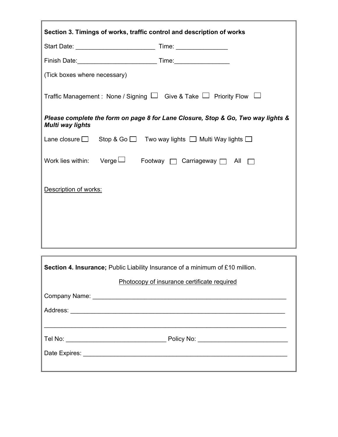| Section 3. Timings of works, traffic control and description of works                                       |  |  |  |  |  |  |
|-------------------------------------------------------------------------------------------------------------|--|--|--|--|--|--|
|                                                                                                             |  |  |  |  |  |  |
|                                                                                                             |  |  |  |  |  |  |
| (Tick boxes where necessary)                                                                                |  |  |  |  |  |  |
| Traffic Management: None / Signing $\Box$ Give & Take $\Box$ Priority Flow $\Box$                           |  |  |  |  |  |  |
| Please complete the form on page 8 for Lane Closure, Stop & Go, Two way lights &<br><b>Multi way lights</b> |  |  |  |  |  |  |
| Lane closure $\Box$ Stop & Go $\Box$ Two way lights $\Box$ Multi Way lights $\Box$                          |  |  |  |  |  |  |
| Work lies within: Verge $\Box$ Footway $\Box$ Carriageway $\Box$ All $\Box$                                 |  |  |  |  |  |  |
| Description of works:                                                                                       |  |  |  |  |  |  |
|                                                                                                             |  |  |  |  |  |  |
|                                                                                                             |  |  |  |  |  |  |
|                                                                                                             |  |  |  |  |  |  |

| <b>Section 4. Insurance:</b> Public Liability Insurance of a minimum of £10 million. |  |  |  |  |
|--------------------------------------------------------------------------------------|--|--|--|--|
| Photocopy of insurance certificate required                                          |  |  |  |  |
|                                                                                      |  |  |  |  |
|                                                                                      |  |  |  |  |
|                                                                                      |  |  |  |  |
|                                                                                      |  |  |  |  |
|                                                                                      |  |  |  |  |
|                                                                                      |  |  |  |  |

F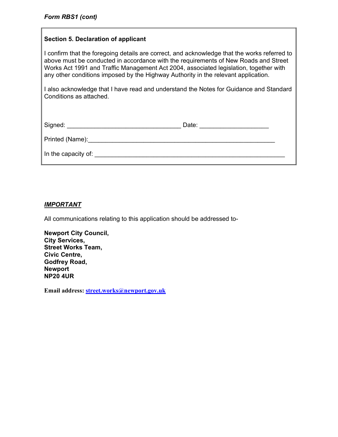### Section 5. Declaration of applicant

I confirm that the foregoing details are correct, and acknowledge that the works referred to above must be conducted in accordance with the requirements of New Roads and Street Works Act 1991 and Traffic Management Act 2004, associated legislation, together with any other conditions imposed by the Highway Authority in the relevant application.

I also acknowledge that I have read and understand the Notes for Guidance and Standard Conditions as attached.

| Signed: ___                                                                                                                                                                                                                    | Date: |
|--------------------------------------------------------------------------------------------------------------------------------------------------------------------------------------------------------------------------------|-------|
| Printed (Name): Manual Communication of the Communication of the Communication of the Communication of the Communication of the Communication of the Communication of the Communication of the Communication of the Communicat |       |
| In the capacity of:                                                                                                                                                                                                            |       |

### IMPORTANT

All communications relating to this application should be addressed to-

| <b>Newport City Council,</b> |
|------------------------------|
| <b>City Services,</b>        |
| <b>Street Works Team,</b>    |
| <b>Civic Centre,</b>         |
| Godfrey Road,                |
| <b>Newport</b>               |
| <b>NP20 4UR</b>              |

Email address: street.works@newport.gov.uk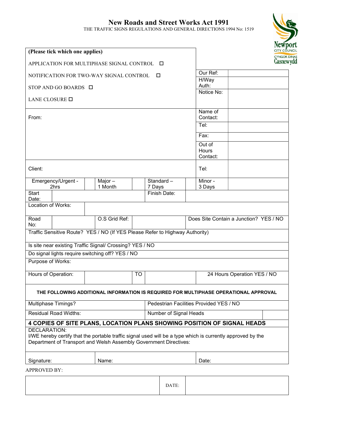## New Roads and Street Works Act 1991

THE TRAFFIC SIGNS REGULATIONS AND GENERAL DIRECTIONS 1994 No: 1519



| (Please tick which one applies)                  |                           |                                                                                                                                                                                  |    |        | 11211<br>CITY CO                        |  |                                        |                             |  |
|--------------------------------------------------|---------------------------|----------------------------------------------------------------------------------------------------------------------------------------------------------------------------------|----|--------|-----------------------------------------|--|----------------------------------------|-----------------------------|--|
| APPLICATION FOR MULTIPHASE SIGNAL CONTROL $\Box$ |                           |                                                                                                                                                                                  |    |        | <b>CYNGOR</b><br><b>Casney</b>          |  |                                        |                             |  |
| NOTIFICATION FOR TWO-WAY SIGNAL CONTROL<br>□     |                           |                                                                                                                                                                                  |    |        | Our Ref:                                |  |                                        |                             |  |
|                                                  |                           |                                                                                                                                                                                  |    |        | H/Way<br>Auth:                          |  |                                        |                             |  |
|                                                  | STOP AND GO BOARDS $\Box$ |                                                                                                                                                                                  |    |        |                                         |  | Notice No:                             |                             |  |
| LANE CLOSURE <b>D</b>                            |                           |                                                                                                                                                                                  |    |        |                                         |  |                                        |                             |  |
|                                                  |                           |                                                                                                                                                                                  |    |        |                                         |  | Name of                                |                             |  |
| From:                                            |                           |                                                                                                                                                                                  |    |        | Contact:<br>Tel:                        |  |                                        |                             |  |
|                                                  |                           |                                                                                                                                                                                  |    |        |                                         |  |                                        |                             |  |
|                                                  |                           |                                                                                                                                                                                  |    |        |                                         |  | Fax:                                   |                             |  |
|                                                  |                           |                                                                                                                                                                                  |    |        |                                         |  | Out of                                 |                             |  |
|                                                  |                           |                                                                                                                                                                                  |    |        |                                         |  | Hours                                  |                             |  |
|                                                  |                           |                                                                                                                                                                                  |    |        |                                         |  | Contact:                               |                             |  |
| Client:                                          |                           |                                                                                                                                                                                  |    |        |                                         |  | Tel:                                   |                             |  |
|                                                  | Emergency/Urgent -        | Major $-$                                                                                                                                                                        |    |        | Standard-                               |  | Minor -                                |                             |  |
| Start                                            | 2hrs                      | 1 Month                                                                                                                                                                          |    | 7 Days | Finish Date:                            |  | 3 Days                                 |                             |  |
| Date:                                            |                           |                                                                                                                                                                                  |    |        |                                         |  |                                        |                             |  |
| Location of Works:                               |                           |                                                                                                                                                                                  |    |        |                                         |  |                                        |                             |  |
| Road<br>No:                                      |                           | O.S Grid Ref:                                                                                                                                                                    |    |        |                                         |  | Does Site Contain a Junction? YES / NO |                             |  |
|                                                  |                           | Traffic Sensitive Route? YES / NO (If YES Please Refer to Highway Authority)                                                                                                     |    |        |                                         |  |                                        |                             |  |
|                                                  |                           | Is site near existing Traffic Signal/ Crossing? YES / NO                                                                                                                         |    |        |                                         |  |                                        |                             |  |
|                                                  |                           | Do signal lights require switching off? YES / NO                                                                                                                                 |    |        |                                         |  |                                        |                             |  |
| Purpose of Works:                                |                           |                                                                                                                                                                                  |    |        |                                         |  |                                        |                             |  |
| Hours of Operation:                              |                           |                                                                                                                                                                                  | TO |        |                                         |  |                                        | 24 Hours Operation YES / NO |  |
|                                                  |                           |                                                                                                                                                                                  |    |        |                                         |  |                                        |                             |  |
|                                                  |                           | THE FOLLOWING ADDITIONAL INFORMATION IS REQUIRED FOR MULTIPHASE OPERATIONAL APPROVAL                                                                                             |    |        |                                         |  |                                        |                             |  |
|                                                  | Multiphase Timings?       |                                                                                                                                                                                  |    |        | Pedestrian Facilities Provided YES / NO |  |                                        |                             |  |
| <b>Residual Road Widths:</b>                     |                           |                                                                                                                                                                                  |    |        | <b>Number of Signal Heads</b>           |  |                                        |                             |  |
|                                                  |                           | 4 COPIES OF SITE PLANS, LOCATION PLANS SHOWING POSITION OF SIGNAL HEADS                                                                                                          |    |        |                                         |  |                                        |                             |  |
| <b>DECLARATION:</b>                              |                           |                                                                                                                                                                                  |    |        |                                         |  |                                        |                             |  |
|                                                  |                           | I/WE hereby certify that the portable traffic signal used will be a type which is currently approved by the<br>Department of Transport and Welsh Assembly Government Directives: |    |        |                                         |  |                                        |                             |  |
| Signature:                                       |                           | Name:                                                                                                                                                                            |    |        |                                         |  | Date:                                  |                             |  |
| <b>APPROVED BY:</b>                              |                           |                                                                                                                                                                                  |    |        |                                         |  |                                        |                             |  |
|                                                  |                           |                                                                                                                                                                                  |    |        |                                         |  |                                        |                             |  |
|                                                  |                           |                                                                                                                                                                                  |    |        | DATE:                                   |  |                                        |                             |  |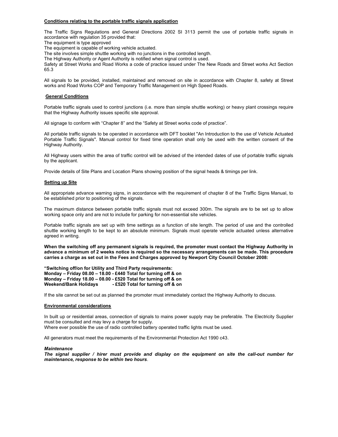### Conditions relating to the portable traffic signals application

The Traffic Signs Regulations and General Directions 2002 SI 3113 permit the use of portable traffic signals in accordance with regulation 35 provided that:

The equipment is type approved

The equipment is capable of working vehicle actuated.

The site involves simple shuttle working with no junctions in the controlled length.

The Highway Authority or Agent Authority is notified when signal control is used.

Safety at Street Works and Road Works a code of practice issued under The New Roads and Street works Act Section 65.3

All signals to be provided, installed, maintained and removed on site in accordance with Chapter 8, safety at Street works and Road Works COP and Temporary Traffic Management on High Speed Roads.

### General Conditions

Portable traffic signals used to control junctions (i.e. more than simple shuttle working) or heavy plant crossings require that the Highway Authority issues specific site approval.

All signage to conform with "Chapter 8" and the "Safety at Street works code of practice".

All portable traffic signals to be operated in accordance with DFT booklet "An Introduction to the use of Vehicle Actuated Portable Traffic Signals". Manual control for fixed time operation shall only be used with the written consent of the Highway Authority.

All Highway users within the area of traffic control will be advised of the intended dates of use of portable traffic signals by the applicant.

Provide details of Site Plans and Location Plans showing position of the signal heads & timings per link.

#### **Setting up Site**

All appropriate advance warning signs, in accordance with the requirement of chapter 8 of the Traffic Signs Manual, to be established prior to positioning of the signals.

The maximum distance between portable traffic signals must not exceed 300m. The signals are to be set up to allow working space only and are not to include for parking for non-essential site vehicles.

Portable traffic signals are set up with time settings as a function of site length. The period of use and the controlled shuttle working length to be kept to an absolute minimum. Signals must operate vehicle actuated unless alternative agreed in writing.

When the switching off any permanent signals is required, the promoter must contact the Highway Authority in advance a minimum of 2 weeks notice is required so the necessary arrangements can be made. This procedure carries a charge as set out in the Fees and Charges approved by Newport City Council October 2008:

"Switching off/on for Utility and Third Party requirements: Monday – Friday 08.00 – 18.00 - £440 Total for turning off & on Monday – Friday 18.00 – 08.00 - £520 Total for turning off & on Weekend/Bank Holidays - £520 Total for turning off & on

If the site cannot be set out as planned the promoter must immediately contact the Highway Authority to discuss.

#### Environmental considerations

In built up or residential areas, connection of signals to mains power supply may be preferable. The Electricity Supplier must be consulted and may levy a charge for supply.

Where ever possible the use of radio controlled battery operated traffic lights must be used.

All generators must meet the requirements of the Environmental Protection Act 1990 c43.

#### Maintenance

The signal supplier / hirer must provide and display on the equipment on site the call-out number for maintenance, response to be within two hours.